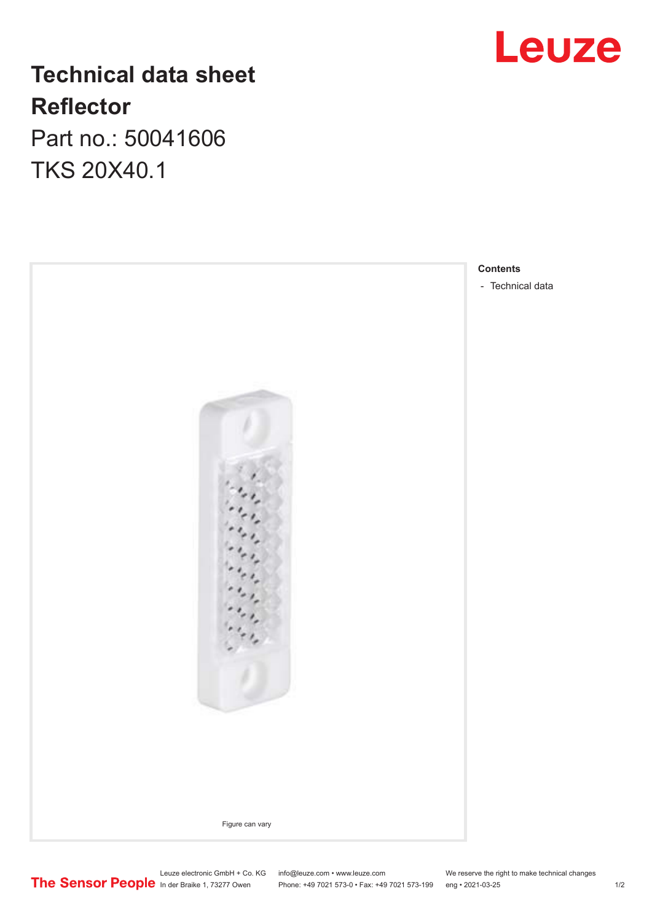# Leuze

### **Technical data sheet Reflector**

Part no.: 50041606 TKS 20X40.1



**Contents**

Leuze electronic GmbH + Co. KG info@leuze.com • www.leuze.com We reserve the right to make technical changes In der Braike 1, 73277 Owen Phone: +49 7021 573-0 • Fax: +49 7021 573-199 eng • 2021-03-25 1 /2